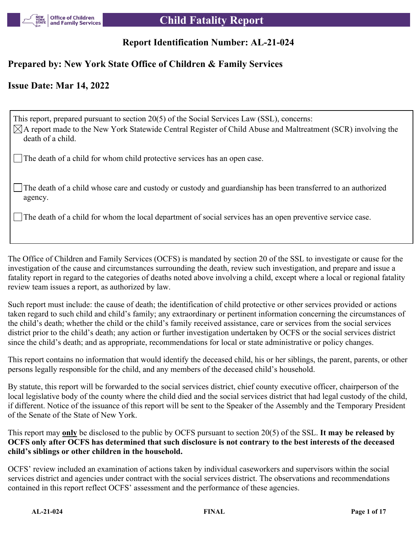

# **Report Identification Number: AL-21-024**

# **Prepared by: New York State Office of Children & Family Services**

## **Issue Date: Mar 14, 2022**

This report, prepared pursuant to section 20(5) of the Social Services Law (SSL), concerns:  $\boxtimes$ A report made to the New York Statewide Central Register of Child Abuse and Maltreatment (SCR) involving the death of a child.

The death of a child for whom child protective services has an open case.

The death of a child whose care and custody or custody and guardianship has been transferred to an authorized agency.

The death of a child for whom the local department of social services has an open preventive service case.

The Office of Children and Family Services (OCFS) is mandated by section 20 of the SSL to investigate or cause for the investigation of the cause and circumstances surrounding the death, review such investigation, and prepare and issue a fatality report in regard to the categories of deaths noted above involving a child, except where a local or regional fatality review team issues a report, as authorized by law.

Such report must include: the cause of death; the identification of child protective or other services provided or actions taken regard to such child and child's family; any extraordinary or pertinent information concerning the circumstances of the child's death; whether the child or the child's family received assistance, care or services from the social services district prior to the child's death; any action or further investigation undertaken by OCFS or the social services district since the child's death; and as appropriate, recommendations for local or state administrative or policy changes.

This report contains no information that would identify the deceased child, his or her siblings, the parent, parents, or other persons legally responsible for the child, and any members of the deceased child's household.

By statute, this report will be forwarded to the social services district, chief county executive officer, chairperson of the local legislative body of the county where the child died and the social services district that had legal custody of the child, if different. Notice of the issuance of this report will be sent to the Speaker of the Assembly and the Temporary President of the Senate of the State of New York.

This report may **only** be disclosed to the public by OCFS pursuant to section 20(5) of the SSL. **It may be released by OCFS only after OCFS has determined that such disclosure is not contrary to the best interests of the deceased child's siblings or other children in the household.**

OCFS' review included an examination of actions taken by individual caseworkers and supervisors within the social services district and agencies under contract with the social services district. The observations and recommendations contained in this report reflect OCFS' assessment and the performance of these agencies.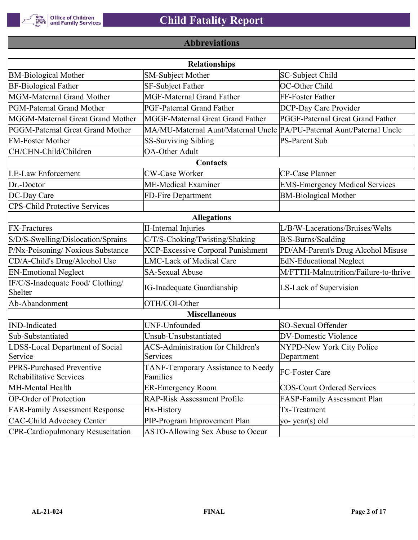

# **Abbreviations**

| <b>Relationships</b>                                        |                                                                       |                                       |  |  |
|-------------------------------------------------------------|-----------------------------------------------------------------------|---------------------------------------|--|--|
| <b>BM-Biological Mother</b>                                 | <b>SM-Subject Mother</b>                                              | SC-Subject Child                      |  |  |
| <b>BF-Biological Father</b>                                 | SF-Subject Father                                                     | OC-Other Child                        |  |  |
| MGM-Maternal Grand Mother                                   | <b>MGF-Maternal Grand Father</b>                                      | FF-Foster Father                      |  |  |
| PGM-Paternal Grand Mother                                   | PGF-Paternal Grand Father                                             | DCP-Day Care Provider                 |  |  |
| MGGM-Maternal Great Grand Mother                            | MGGF-Maternal Great Grand Father                                      | PGGF-Paternal Great Grand Father      |  |  |
| PGGM-Paternal Great Grand Mother                            | MA/MU-Maternal Aunt/Maternal Uncle PA/PU-Paternal Aunt/Paternal Uncle |                                       |  |  |
| <b>FM-Foster Mother</b>                                     | <b>SS-Surviving Sibling</b>                                           | <b>PS-Parent Sub</b>                  |  |  |
| CH/CHN-Child/Children                                       | <b>OA-Other Adult</b>                                                 |                                       |  |  |
|                                                             | Contacts                                                              |                                       |  |  |
| <b>LE-Law Enforcement</b>                                   | <b>CW-Case Worker</b>                                                 | CP-Case Planner                       |  |  |
| Dr.-Doctor                                                  | ME-Medical Examiner                                                   | <b>EMS-Emergency Medical Services</b> |  |  |
| DC-Day Care                                                 | FD-Fire Department                                                    | <b>BM-Biological Mother</b>           |  |  |
| <b>CPS-Child Protective Services</b>                        |                                                                       |                                       |  |  |
|                                                             | <b>Allegations</b>                                                    |                                       |  |  |
| <b>FX-Fractures</b>                                         | <b>II-Internal Injuries</b>                                           | L/B/W-Lacerations/Bruises/Welts       |  |  |
| S/D/S-Swelling/Dislocation/Sprains                          | C/T/S-Choking/Twisting/Shaking                                        | B/S-Burns/Scalding                    |  |  |
| P/Nx-Poisoning/ Noxious Substance                           | <b>XCP-Excessive Corporal Punishment</b>                              | PD/AM-Parent's Drug Alcohol Misuse    |  |  |
| CD/A-Child's Drug/Alcohol Use                               | <b>LMC-Lack of Medical Care</b>                                       | <b>EdN-Educational Neglect</b>        |  |  |
| <b>EN-Emotional Neglect</b>                                 | <b>SA-Sexual Abuse</b>                                                | M/FTTH-Malnutrition/Failure-to-thrive |  |  |
| IF/C/S-Inadequate Food/ Clothing/<br>Shelter                | <b>IG-Inadequate Guardianship</b>                                     | LS-Lack of Supervision                |  |  |
| Ab-Abandonment                                              | OTH/COI-Other                                                         |                                       |  |  |
|                                                             | <b>Miscellaneous</b>                                                  |                                       |  |  |
| <b>IND-Indicated</b>                                        | UNF-Unfounded                                                         | SO-Sexual Offender                    |  |  |
| Sub-Substantiated                                           | Unsub-Unsubstantiated                                                 | <b>DV-Domestic Violence</b>           |  |  |
| LDSS-Local Department of Social                             | <b>ACS-Administration for Children's</b>                              | NYPD-New York City Police             |  |  |
| Service                                                     | Services                                                              | Department                            |  |  |
| PPRS-Purchased Preventive<br><b>Rehabilitative Services</b> | TANF-Temporary Assistance to Needy<br>Families                        | FC-Foster Care                        |  |  |
| MH-Mental Health                                            | <b>ER-Emergency Room</b>                                              | <b>COS-Court Ordered Services</b>     |  |  |
| <b>OP-Order of Protection</b>                               | <b>RAP-Risk Assessment Profile</b>                                    | FASP-Family Assessment Plan           |  |  |
| <b>FAR-Family Assessment Response</b>                       | Hx-History                                                            | Tx-Treatment                          |  |  |
| <b>CAC-Child Advocacy Center</b>                            | PIP-Program Improvement Plan                                          | yo-year(s) old                        |  |  |
| <b>CPR-Cardiopulmonary Resuscitation</b>                    | ASTO-Allowing Sex Abuse to Occur                                      |                                       |  |  |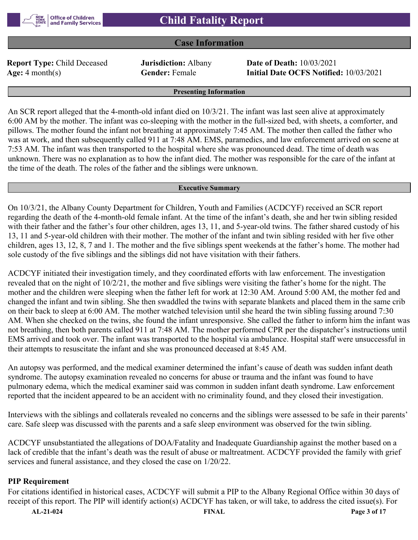## **Case Information**

**Report Type:** Child Deceased **Jurisdiction:** Albany **Date of Death:** 10/03/2021

**Age:** 4 month(s) **Gender:** Female **Initial Date OCFS Notified:** 10/03/2021

#### **Presenting Information**

An SCR report alleged that the 4-month-old infant died on 10/3/21. The infant was last seen alive at approximately 6:00 AM by the mother. The infant was co-sleeping with the mother in the full-sized bed, with sheets, a comforter, and pillows. The mother found the infant not breathing at approximately 7:45 AM. The mother then called the father who was at work, and then subsequently called 911 at 7:48 AM. EMS, paramedics, and law enforcement arrived on scene at 7:53 AM. The infant was then transported to the hospital where she was pronounced dead. The time of death was unknown. There was no explanation as to how the infant died. The mother was responsible for the care of the infant at the time of the death. The roles of the father and the siblings were unknown.

#### **Executive Summary**

On 10/3/21, the Albany County Department for Children, Youth and Families (ACDCYF) received an SCR report regarding the death of the 4-month-old female infant. At the time of the infant's death, she and her twin sibling resided with their father and the father's four other children, ages 13, 11, and 5-year-old twins. The father shared custody of his 13, 11 and 5-year-old children with their mother. The mother of the infant and twin sibling resided with her five other children, ages 13, 12, 8, 7 and 1. The mother and the five siblings spent weekends at the father's home. The mother had sole custody of the five siblings and the siblings did not have visitation with their fathers.

ACDCYF initiated their investigation timely, and they coordinated efforts with law enforcement. The investigation revealed that on the night of 10/2/21, the mother and five siblings were visiting the father's home for the night. The mother and the children were sleeping when the father left for work at 12:30 AM. Around 5:00 AM, the mother fed and changed the infant and twin sibling. She then swaddled the twins with separate blankets and placed them in the same crib on their back to sleep at 6:00 AM. The mother watched television until she heard the twin sibling fussing around 7:30 AM. When she checked on the twins, she found the infant unresponsive. She called the father to inform him the infant was not breathing, then both parents called 911 at 7:48 AM. The mother performed CPR per the dispatcher's instructions until EMS arrived and took over. The infant was transported to the hospital via ambulance. Hospital staff were unsuccessful in their attempts to resuscitate the infant and she was pronounced deceased at 8:45 AM.

An autopsy was performed, and the medical examiner determined the infant's cause of death was sudden infant death syndrome. The autopsy examination revealed no concerns for abuse or trauma and the infant was found to have pulmonary edema, which the medical examiner said was common in sudden infant death syndrome. Law enforcement reported that the incident appeared to be an accident with no criminality found, and they closed their investigation.

Interviews with the siblings and collaterals revealed no concerns and the siblings were assessed to be safe in their parents' care. Safe sleep was discussed with the parents and a safe sleep environment was observed for the twin sibling.

ACDCYF unsubstantiated the allegations of DOA/Fatality and Inadequate Guardianship against the mother based on a lack of credible that the infant's death was the result of abuse or maltreatment. ACDCYF provided the family with grief services and funeral assistance, and they closed the case on 1/20/22.

#### **PIP Requirement**

For citations identified in historical cases, ACDCYF will submit a PIP to the Albany Regional Office within 30 days of receipt of this report. The PIP will identify action(s) ACDCYF has taken, or will take, to address the cited issue(s). For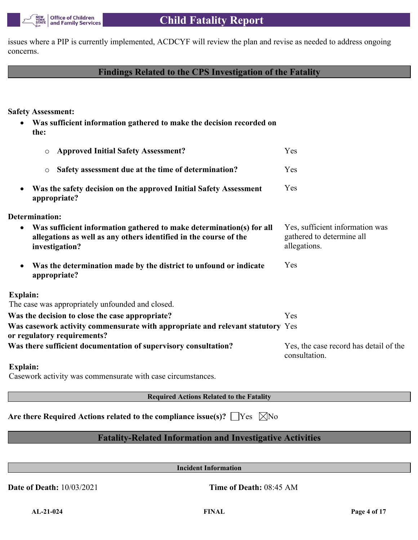issues where a PIP is currently implemented, ACDCYF will review the plan and revise as needed to address ongoing concerns.

# **Findings Related to the CPS Investigation of the Fatality**

**Safety Assessment:**

 **Was sufficient information gathered to make the decision recorded on the:**

| <b>Approved Initial Safety Assessment?</b><br>$\circ$                                                                                                                    | Yes                                                                          |
|--------------------------------------------------------------------------------------------------------------------------------------------------------------------------|------------------------------------------------------------------------------|
| Safety assessment due at the time of determination?<br>$\circ$                                                                                                           | Yes                                                                          |
| Was the safety decision on the approved Initial Safety Assessment<br>$\bullet$<br>appropriate?                                                                           | Yes                                                                          |
| Determination:                                                                                                                                                           |                                                                              |
| Was sufficient information gathered to make determination(s) for all<br>$\bullet$<br>allegations as well as any others identified in the course of the<br>investigation? | Yes, sufficient information was<br>gathered to determine all<br>allegations. |
| Was the determination made by the district to unfound or indicate<br>$\bullet$<br>appropriate?                                                                           | Yes                                                                          |
| Explain:                                                                                                                                                                 |                                                                              |
| The case was appropriately unfounded and closed.                                                                                                                         |                                                                              |
| Was the decision to close the case appropriate?                                                                                                                          | Yes                                                                          |
| Was casework activity commensurate with appropriate and relevant statutory Yes<br>or regulatory requirements?                                                            |                                                                              |
| Was there sufficient documentation of supervisory consultation?                                                                                                          | Yes, the case record has detail of the<br>consultation.                      |
| Explain:                                                                                                                                                                 |                                                                              |

Casework activity was commensurate with case circumstances.

**Required Actions Related to the Fatality**

Are there Required Actions related to the compliance issue(s)?  $\Box$  Yes  $\Box$  No

# **Fatality-Related Information and Investigative Activities**

**Incident Information**

**Date of Death:** 10/03/2021 **Time of Death:** 08:45 AM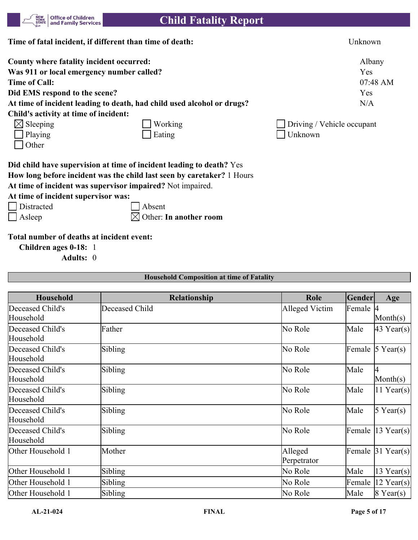

| Time of fatal incident, if different than time of death: |                                                                        | Unknown                           |
|----------------------------------------------------------|------------------------------------------------------------------------|-----------------------------------|
| County where fatality incident occurred:                 |                                                                        | Albany                            |
| Was 911 or local emergency number called?                |                                                                        | Yes                               |
| Time of Call:                                            |                                                                        | 07:48 AM                          |
| Did EMS respond to the scene?                            |                                                                        | Yes                               |
|                                                          | At time of incident leading to death, had child used alcohol or drugs? | N/A                               |
| Child's activity at time of incident:                    |                                                                        |                                   |
| $\boxtimes$ Sleeping                                     | Working                                                                | $\Box$ Driving / Vehicle occupant |
| Playing                                                  | Eating                                                                 | Unknown                           |
| Other                                                    |                                                                        |                                   |

**Did child have supervision at time of incident leading to death?** Yes **How long before incident was the child last seen by caretaker?** 1 Hours

**At time of incident was supervisor impaired?** Not impaired.

**At time of incident supervisor was:**

Distracted Absent

 $\Box$  Asleep  $\Box$  Other: **In another room** 

## **Total number of deaths at incident event:**

**Children ages 0-18:** 1

**Adults:** 0

| <b>Household</b>              | Relationship   | Role                   | Gender   | Age               |
|-------------------------------|----------------|------------------------|----------|-------------------|
| Deceased Child's<br>Household | Deceased Child | Alleged Victim         | Female 4 | Month $(s)$       |
| Deceased Child's<br>Household | Father         | No Role                | Male     | $43$ Year(s)      |
| Deceased Child's<br>Household | Sibling        | No Role                | Female   | $5$ Year(s)       |
| Deceased Child's<br>Household | Sibling        | No Role                | Male     | $\text{Month}(s)$ |
| Deceased Child's<br>Household | Sibling        | No Role                | Male     | $11$ Year(s)      |
| Deceased Child's<br>Household | Sibling        | No Role                | Male     | $5$ Year(s)       |
| Deceased Child's<br>Household | Sibling        | No Role                | Female   | $13$ Year(s)      |
| Other Household 1             | Mother         | Alleged<br>Perpetrator | Female   | $31$ Year(s)      |
| Other Household 1             | Sibling        | No Role                | Male     | 13 Year(s)        |
| Other Household 1             | Sibling        | No Role                | Female   | $12$ Year(s)      |
| Other Household 1             | Sibling        | No Role                | Male     | $8$ Year(s)       |

**Household Composition at time of Fatality**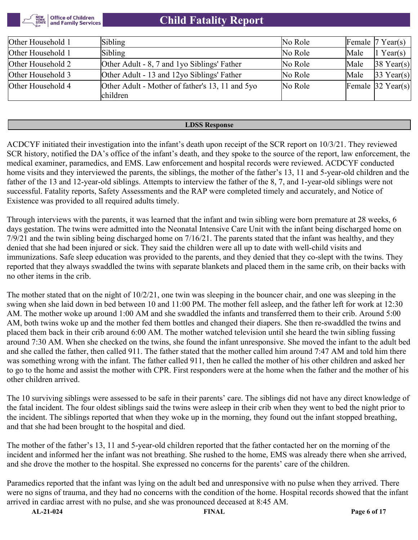

| Other Household 1 | Sibling                                         | No Role |      | Female $ 7 \text{ Year}(s) $  |
|-------------------|-------------------------------------------------|---------|------|-------------------------------|
| Other Household 1 | Sibling                                         | No Role | Male | $1$ Year(s)                   |
| Other Household 2 | Other Adult - 8, 7 and 1 yo Siblings' Father    | No Role | Male | $ 38 \text{ Year}(s) $        |
| Other Household 3 | Other Adult - 13 and 12yo Siblings' Father      | No Role | Male | $ 33 \text{ Year}(s) $        |
| Other Household 4 | Other Adult - Mother of father's 13, 11 and 5yo | No Role |      | Female $ 32 \text{ Year}(s) $ |
|                   | children                                        |         |      |                               |

#### **LDSS Response**

ACDCYF initiated their investigation into the infant's death upon receipt of the SCR report on 10/3/21. They reviewed SCR history, notified the DA's office of the infant's death, and they spoke to the source of the report, law enforcement, the medical examiner, paramedics, and EMS. Law enforcement and hospital records were reviewed. ACDCYF conducted home visits and they interviewed the parents, the siblings, the mother of the father's 13, 11 and 5-year-old children and the father of the 13 and 12-year-old siblings. Attempts to interview the father of the 8, 7, and 1-year-old siblings were not successful. Fatality reports, Safety Assessments and the RAP were completed timely and accurately, and Notice of Existence was provided to all required adults timely.

Through interviews with the parents, it was learned that the infant and twin sibling were born premature at 28 weeks, 6 days gestation. The twins were admitted into the Neonatal Intensive Care Unit with the infant being discharged home on 7/9/21 and the twin sibling being discharged home on 7/16/21. The parents stated that the infant was healthy, and they denied that she had been injured or sick. They said the children were all up to date with well-child visits and immunizations. Safe sleep education was provided to the parents, and they denied that they co-slept with the twins. They reported that they always swaddled the twins with separate blankets and placed them in the same crib, on their backs with no other items in the crib.

The mother stated that on the night of 10/2/21, one twin was sleeping in the bouncer chair, and one was sleeping in the swing when she laid down in bed between 10 and 11:00 PM. The mother fell asleep, and the father left for work at 12:30 AM. The mother woke up around 1:00 AM and she swaddled the infants and transferred them to their crib. Around 5:00 AM, both twins woke up and the mother fed them bottles and changed their diapers. She then re-swaddled the twins and placed them back in their crib around 6:00 AM. The mother watched television until she heard the twin sibling fussing around 7:30 AM. When she checked on the twins, she found the infant unresponsive. She moved the infant to the adult bed and she called the father, then called 911. The father stated that the mother called him around 7:47 AM and told him there was something wrong with the infant. The father called 911, then he called the mother of his other children and asked her to go to the home and assist the mother with CPR. First responders were at the home when the father and the mother of his other children arrived.

The 10 surviving siblings were assessed to be safe in their parents' care. The siblings did not have any direct knowledge of the fatal incident. The four oldest siblings said the twins were asleep in their crib when they went to bed the night prior to the incident. The siblings reported that when they woke up in the morning, they found out the infant stopped breathing, and that she had been brought to the hospital and died.

The mother of the father's 13, 11 and 5-year-old children reported that the father contacted her on the morning of the incident and informed her the infant was not breathing. She rushed to the home, EMS was already there when she arrived, and she drove the mother to the hospital. She expressed no concerns for the parents' care of the children.

Paramedics reported that the infant was lying on the adult bed and unresponsive with no pulse when they arrived. There were no signs of trauma, and they had no concerns with the condition of the home. Hospital records showed that the infant arrived in cardiac arrest with no pulse, and she was pronounced deceased at 8:45 AM.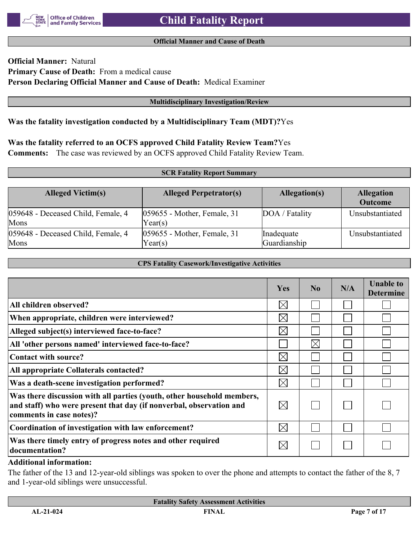#### **Official Manner and Cause of Death**

# **Official Manner:** Natural **Primary Cause of Death:** From a medical cause **Person Declaring Official Manner and Cause of Death:** Medical Examiner

#### **Multidisciplinary Investigation/Review**

#### **Was the fatality investigation conducted by a Multidisciplinary Team (MDT)?**Yes

#### **Was the fatality referred to an OCFS approved Child Fatality Review Team?**Yes

**Comments:** The case was reviewed by an OCFS approved Child Fatality Review Team.

#### **SCR Fatality Report Summary**

| <b>Alleged Victim(s)</b>                   | <b>Alleged Perpetrator(s)</b>             | Allegation(s)              | <b>Allegation</b><br><b>Outcome</b> |
|--------------------------------------------|-------------------------------------------|----------------------------|-------------------------------------|
| 059648 - Deceased Child, Female, 4<br>Mons | $ 059655$ - Mother, Female, 31<br>Year(s) | DOA / Fatality             | Unsubstantiated                     |
| 059648 - Deceased Child, Female, 4<br>Mons | $ 059655$ - Mother, Female, 31<br>Year(s) | Inadequate<br>Guardianship | Unsubstantiated                     |

#### **CPS Fatality Casework/Investigative Activities**

|                                                                                                                                                                           | <b>Yes</b>  | $\bf No$    | N/A | <b>Unable to</b><br><b>Determine</b> |
|---------------------------------------------------------------------------------------------------------------------------------------------------------------------------|-------------|-------------|-----|--------------------------------------|
| All children observed?                                                                                                                                                    | $\boxtimes$ |             |     |                                      |
| When appropriate, children were interviewed?                                                                                                                              | $\boxtimes$ |             |     |                                      |
| Alleged subject(s) interviewed face-to-face?                                                                                                                              | $\boxtimes$ |             |     |                                      |
| All 'other persons named' interviewed face-to-face?                                                                                                                       |             | $\boxtimes$ |     |                                      |
| Contact with source?                                                                                                                                                      | $\boxtimes$ |             |     |                                      |
| All appropriate Collaterals contacted?                                                                                                                                    | $\boxtimes$ |             |     |                                      |
| Was a death-scene investigation performed?                                                                                                                                | $\boxtimes$ |             |     |                                      |
| Was there discussion with all parties (youth, other household members,<br>and staff) who were present that day (if nonverbal, observation and<br>comments in case notes)? | $\bowtie$   |             |     |                                      |
| Coordination of investigation with law enforcement?                                                                                                                       | $\boxtimes$ |             |     |                                      |
| Was there timely entry of progress notes and other required<br>documentation?                                                                                             | $\times$    |             |     |                                      |

#### **Additional information:**

The father of the 13 and 12-year-old siblings was spoken to over the phone and attempts to contact the father of the 8, 7 and 1-year-old siblings were unsuccessful.

|                 | <b>Fatality Safety Assessment Activities</b> |              |
|-----------------|----------------------------------------------|--------------|
| $AI - 21 - 024$ | FINAI                                        | Page 7 of 17 |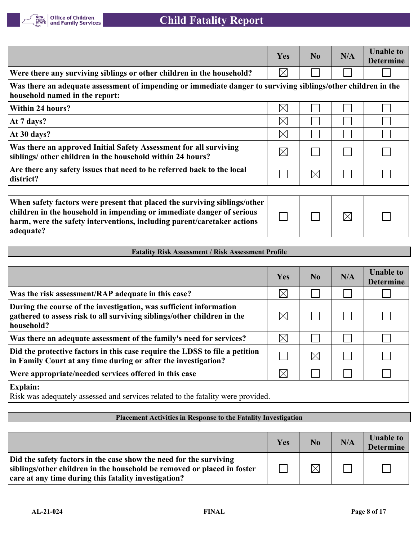

|                                                                                                                                                                                                                                            | Yes         | No          | N/A         | <b>Unable to</b><br><b>Determine</b> |
|--------------------------------------------------------------------------------------------------------------------------------------------------------------------------------------------------------------------------------------------|-------------|-------------|-------------|--------------------------------------|
| Were there any surviving siblings or other children in the household?                                                                                                                                                                      | $\boxtimes$ |             |             |                                      |
| Was there an adequate assessment of impending or immediate danger to surviving siblings/other children in the<br>household named in the report:                                                                                            |             |             |             |                                      |
| Within 24 hours?                                                                                                                                                                                                                           | $\boxtimes$ |             |             |                                      |
| At 7 days?                                                                                                                                                                                                                                 | $\boxtimes$ |             |             |                                      |
| At 30 days?                                                                                                                                                                                                                                | $\boxtimes$ |             |             |                                      |
| Was there an approved Initial Safety Assessment for all surviving<br>siblings/ other children in the household within 24 hours?                                                                                                            | $\boxtimes$ |             |             |                                      |
| Are there any safety issues that need to be referred back to the local<br>district?                                                                                                                                                        |             | $\boxtimes$ |             |                                      |
|                                                                                                                                                                                                                                            |             |             |             |                                      |
| When safety factors were present that placed the surviving siblings/other<br>children in the household in impending or immediate danger of serious<br>harm, were the safety interventions, including parent/caretaker actions<br>adequate? |             |             | $\boxtimes$ |                                      |

#### **Fatality Risk Assessment / Risk Assessment Profile**

|                                                                                                                                                             | Yes         | N <sub>0</sub> | N/A | <b>Unable to</b><br><b>Determine</b> |
|-------------------------------------------------------------------------------------------------------------------------------------------------------------|-------------|----------------|-----|--------------------------------------|
| Was the risk assessment/RAP adequate in this case?                                                                                                          | $\times$    |                |     |                                      |
| During the course of the investigation, was sufficient information<br>gathered to assess risk to all surviving siblings/other children in the<br>household? | $\boxtimes$ |                |     |                                      |
| Was there an adequate assessment of the family's need for services?                                                                                         | $\boxtimes$ |                |     |                                      |
| Did the protective factors in this case require the LDSS to file a petition<br>in Family Court at any time during or after the investigation?               |             | $\boxtimes$    |     |                                      |
| Were appropriate/needed services offered in this case                                                                                                       | $\times$    |                |     |                                      |
| <b>Explain:</b><br>Risk was adequately assessed and services related to the fatality were provided.                                                         |             |                |     |                                      |

## **Placement Activities in Response to the Fatality Investigation**

|                                                                                                                                                                                                       | Yes | $\bf No$    | N/A | <b>Unable to</b><br><b>Determine</b> |
|-------------------------------------------------------------------------------------------------------------------------------------------------------------------------------------------------------|-----|-------------|-----|--------------------------------------|
| Did the safety factors in the case show the need for the surviving<br>siblings/other children in the household be removed or placed in foster<br>care at any time during this fatality investigation? |     | $\boxtimes$ |     |                                      |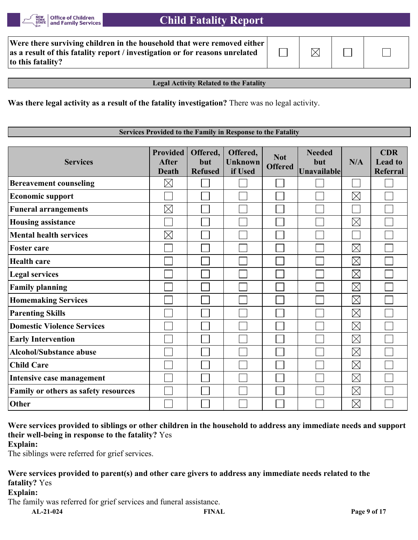

| Were there surviving children in the household that were removed either $ $  |             |  |
|------------------------------------------------------------------------------|-------------|--|
| as a result of this fatality report / investigation or for reasons unrelated | $\boxtimes$ |  |
| to this fatality?                                                            |             |  |

**Legal Activity Related to the Fatality**

**Was there legal activity as a result of the fatality investigation?** There was no legal activity.

#### **Services Provided to the Family in Response to the Fatality**

| <b>Services</b>                      | <b>Provided</b><br><b>After</b><br><b>Death</b> | Offered,<br>but<br><b>Refused</b> | Offered,<br><b>Unknown</b><br>if Used | <b>Not</b><br><b>Offered</b> | <b>Needed</b><br>but<br><b>Unavailable</b> | N/A         | <b>CDR</b><br><b>Lead to</b><br><b>Referral</b> |
|--------------------------------------|-------------------------------------------------|-----------------------------------|---------------------------------------|------------------------------|--------------------------------------------|-------------|-------------------------------------------------|
| <b>Bereavement counseling</b>        | $\boxtimes$                                     |                                   |                                       |                              |                                            |             |                                                 |
| <b>Economic support</b>              |                                                 |                                   |                                       |                              |                                            | $\boxtimes$ |                                                 |
| <b>Funeral arrangements</b>          | $\boxtimes$                                     |                                   |                                       |                              |                                            |             |                                                 |
| <b>Housing assistance</b>            |                                                 |                                   |                                       |                              |                                            | $\boxtimes$ |                                                 |
| <b>Mental health services</b>        | $\boxtimes$                                     |                                   |                                       |                              |                                            |             |                                                 |
| <b>Foster care</b>                   |                                                 |                                   |                                       |                              |                                            | $\boxtimes$ |                                                 |
| <b>Health care</b>                   |                                                 |                                   |                                       |                              |                                            | $\boxtimes$ |                                                 |
| <b>Legal services</b>                |                                                 |                                   |                                       |                              |                                            | $\boxtimes$ |                                                 |
| <b>Family planning</b>               |                                                 |                                   |                                       |                              |                                            | $\boxtimes$ |                                                 |
| <b>Homemaking Services</b>           |                                                 |                                   |                                       |                              |                                            | $\boxtimes$ |                                                 |
| <b>Parenting Skills</b>              |                                                 |                                   |                                       |                              |                                            | $\boxtimes$ |                                                 |
| <b>Domestic Violence Services</b>    |                                                 |                                   |                                       |                              |                                            | $\boxtimes$ |                                                 |
| <b>Early Intervention</b>            |                                                 |                                   |                                       |                              |                                            | $\boxtimes$ |                                                 |
| <b>Alcohol/Substance abuse</b>       |                                                 |                                   |                                       |                              |                                            | $\boxtimes$ |                                                 |
| <b>Child Care</b>                    |                                                 |                                   |                                       |                              |                                            | $\boxtimes$ |                                                 |
| Intensive case management            |                                                 |                                   |                                       |                              |                                            | $\boxtimes$ |                                                 |
| Family or others as safety resources |                                                 |                                   |                                       |                              |                                            | $\boxtimes$ |                                                 |
| Other                                |                                                 |                                   |                                       |                              |                                            | $\boxtimes$ |                                                 |

**Were services provided to siblings or other children in the household to address any immediate needs and support their well-being in response to the fatality?** Yes

**Explain:**

The siblings were referred for grief services.

# **Were services provided to parent(s) and other care givers to address any immediate needs related to the fatality?** Yes

**Explain:**

The family was referred for grief services and funeral assistance.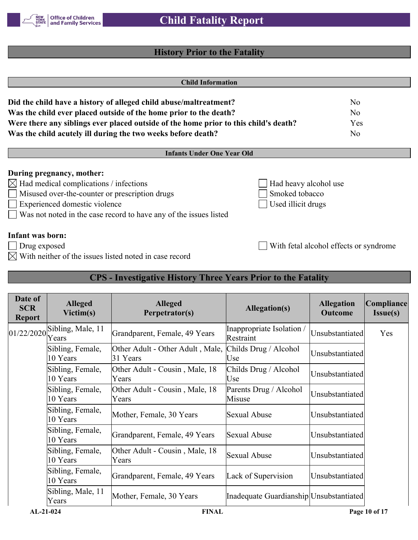

# **History Prior to the Fatality**

|                                                     |                                        | <b>Child Information</b>                                                             |                                                           |                                        |                        |
|-----------------------------------------------------|----------------------------------------|--------------------------------------------------------------------------------------|-----------------------------------------------------------|----------------------------------------|------------------------|
|                                                     |                                        | Did the child have a history of alleged child abuse/maltreatment?                    |                                                           | No                                     |                        |
|                                                     |                                        | Was the child ever placed outside of the home prior to the death?                    |                                                           | N <sub>o</sub>                         |                        |
|                                                     |                                        | Were there any siblings ever placed outside of the home prior to this child's death? |                                                           | Yes                                    |                        |
|                                                     |                                        | Was the child acutely ill during the two weeks before death?                         |                                                           | N <sub>o</sub>                         |                        |
|                                                     |                                        | <b>Infants Under One Year Old</b>                                                    |                                                           |                                        |                        |
|                                                     | During pregnancy, mother:              |                                                                                      |                                                           |                                        |                        |
| $\boxtimes$                                         | Had medical complications / infections |                                                                                      | Had heavy alcohol use                                     |                                        |                        |
|                                                     |                                        | Misused over-the-counter or prescription drugs                                       | Smoked tobacco                                            |                                        |                        |
| Experienced domestic violence<br>Used illicit drugs |                                        |                                                                                      |                                                           |                                        |                        |
|                                                     |                                        | Was not noted in the case record to have any of the issues listed                    |                                                           |                                        |                        |
| <b>Infant was born:</b>                             |                                        |                                                                                      |                                                           |                                        |                        |
| Drug exposed                                        |                                        |                                                                                      |                                                           | With fetal alcohol effects or syndrome |                        |
|                                                     |                                        | With neither of the issues listed noted in case record                               |                                                           |                                        |                        |
|                                                     |                                        |                                                                                      |                                                           |                                        |                        |
|                                                     |                                        | <b>CPS</b> - Investigative History Three Years Prior to the Fatality                 |                                                           |                                        |                        |
| Date of<br><b>SCR</b><br><b>Report</b>              | <b>Alleged</b><br>Victim(s)            | <b>Alleged</b><br>Perpetrator(s)                                                     | <b>Allegation(s)</b>                                      | <b>Allegation</b><br><b>Outcome</b>    | Compliance<br>Issue(s) |
| 01/22/2020                                          | Sibling, Male, 11<br>Veare             | Grandparent, Female, 49 Years                                                        | Inappropriate Isolation /<br>$\mathbf{p}_{\text{actual}}$ | Unsubstantiated                        | Yes                    |

| Date of<br><b>SCR</b><br><b>Report</b> | <b>Alleged</b><br>Victim(s)  | <b>Alleged</b><br>Perpetrator(s)             | <b>Allegation(s)</b>                    | <b>Allegation</b><br><b>Outcome</b> | Compliance<br>Issue(s) |
|----------------------------------------|------------------------------|----------------------------------------------|-----------------------------------------|-------------------------------------|------------------------|
| 01/22/2020                             | Sibling, Male, 11<br>Years   | Grandparent, Female, 49 Years                | Inappropriate Isolation /<br>Restraint  | Unsubstantiated                     | Yes                    |
|                                        | Sibling, Female,<br>10 Years | Other Adult - Other Adult, Male,<br>31 Years | Childs Drug / Alcohol<br>Use            | Unsubstantiated                     |                        |
|                                        | Sibling, Female,<br>10 Years | Other Adult - Cousin, Male, 18<br>Years      | Childs Drug / Alcohol<br>Use            | Unsubstantiated                     |                        |
|                                        | Sibling, Female,<br>10 Years | Other Adult - Cousin, Male, 18<br>Years      | Parents Drug / Alcohol<br>Misuse        | Unsubstantiated                     |                        |
|                                        | Sibling, Female,<br>10 Years | Mother, Female, 30 Years                     | <b>Sexual Abuse</b>                     | Unsubstantiated                     |                        |
|                                        | Sibling, Female,<br>10 Years | Grandparent, Female, 49 Years                | Sexual Abuse                            | Unsubstantiated                     |                        |
|                                        | Sibling, Female,<br>10 Years | Other Adult - Cousin, Male, 18<br>Years      | <b>Sexual Abuse</b>                     | Unsubstantiated                     |                        |
|                                        | Sibling, Female,<br>10 Years | Grandparent, Female, 49 Years                | Lack of Supervision                     | Unsubstantiated                     |                        |
|                                        | Sibling, Male, 11<br>Years   | Mother, Female, 30 Years                     | Inadequate Guardianship Unsubstantiated |                                     |                        |
| $AL-21-024$                            |                              | <b>FINAL</b>                                 |                                         |                                     | Page 10 of 17          |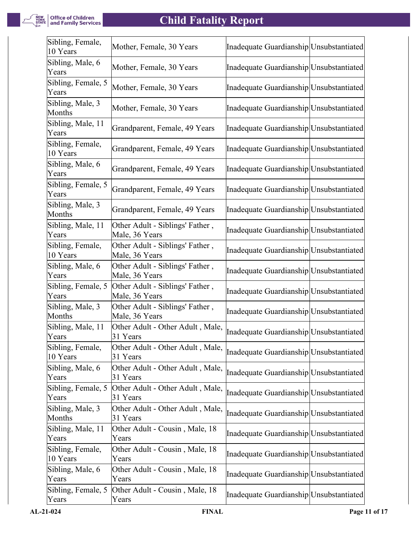

| Sibling, Female,<br>10 Years | Mother, Female, 30 Years                          | Inadequate Guardianship Unsubstantiated |  |
|------------------------------|---------------------------------------------------|-----------------------------------------|--|
| Sibling, Male, 6<br>Years    | Mother, Female, 30 Years                          | Inadequate Guardianship Unsubstantiated |  |
| Sibling, Female, 5<br>Years  | Mother, Female, 30 Years                          | Inadequate Guardianship Unsubstantiated |  |
| Sibling, Male, 3<br>Months   | Mother, Female, 30 Years                          | Inadequate Guardianship Unsubstantiated |  |
| Sibling, Male, 11<br>Years   | Grandparent, Female, 49 Years                     | Inadequate Guardianship Unsubstantiated |  |
| Sibling, Female,<br>10 Years | Grandparent, Female, 49 Years                     | Inadequate Guardianship Unsubstantiated |  |
| Sibling, Male, 6<br>Years    | Grandparent, Female, 49 Years                     | Inadequate Guardianship Unsubstantiated |  |
| Sibling, Female, 5<br>Years  | Grandparent, Female, 49 Years                     | Inadequate Guardianship Unsubstantiated |  |
| Sibling, Male, 3<br>Months   | Grandparent, Female, 49 Years                     | Inadequate Guardianship Unsubstantiated |  |
| Sibling, Male, 11<br>Years   | Other Adult - Siblings' Father,<br>Male, 36 Years | Inadequate Guardianship Unsubstantiated |  |
| Sibling, Female,<br>10 Years | Other Adult - Siblings' Father,<br>Male, 36 Years | Inadequate Guardianship Unsubstantiated |  |
| Sibling, Male, 6<br>Years    | Other Adult - Siblings' Father,<br>Male, 36 Years | Inadequate Guardianship Unsubstantiated |  |
| Sibling, Female, 5<br>Years  | Other Adult - Siblings' Father,<br>Male, 36 Years | Inadequate Guardianship Unsubstantiated |  |
| Sibling, Male, 3<br>Months   | Other Adult - Siblings' Father,<br>Male, 36 Years | Inadequate Guardianship Unsubstantiated |  |
| Sibling, Male, 11<br>Years   | Other Adult - Other Adult, Male,<br>31 Years      | Inadequate Guardianship Unsubstantiated |  |
| Sibling, Female,<br>10 Years | Other Adult - Other Adult, Male,<br>31 Years      | Inadequate Guardianship Unsubstantiated |  |
| Sibling, Male, 6<br>Years    | Other Adult - Other Adult, Male,<br>31 Years      | Inadequate Guardianship Unsubstantiated |  |
| Sibling, Female, 5<br>Years  | Other Adult - Other Adult, Male,<br>31 Years      | Inadequate Guardianship Unsubstantiated |  |
| Sibling, Male, 3<br>Months   | Other Adult - Other Adult, Male,<br>31 Years      | Inadequate Guardianship Unsubstantiated |  |
| Sibling, Male, 11<br>Years   | Other Adult - Cousin, Male, 18<br>Years           | Inadequate Guardianship Unsubstantiated |  |
| Sibling, Female,<br>10 Years | Other Adult - Cousin, Male, 18<br>Years           | Inadequate Guardianship Unsubstantiated |  |
| Sibling, Male, 6<br>Years    | Other Adult - Cousin, Male, 18<br>Years           | Inadequate Guardianship Unsubstantiated |  |
| Sibling, Female, 5<br>Years  | Other Adult - Cousin, Male, 18<br>Years           | Inadequate Guardianship Unsubstantiated |  |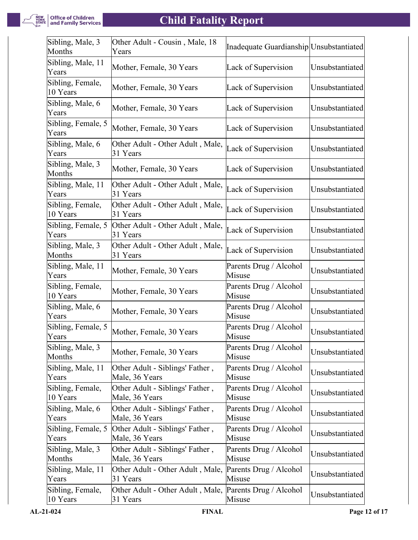

| Sibling, Male, 3<br>Months   | Other Adult - Cousin, Male, 18<br>Years                             | Inadequate Guardianship Unsubstantiated |                 |
|------------------------------|---------------------------------------------------------------------|-----------------------------------------|-----------------|
| Sibling, Male, 11<br>Years   | Mother, Female, 30 Years                                            | Lack of Supervision                     | Unsubstantiated |
| Sibling, Female,<br>10 Years | Mother, Female, 30 Years                                            | Lack of Supervision                     | Unsubstantiated |
| Sibling, Male, 6<br>Years    | Mother, Female, 30 Years                                            | Lack of Supervision                     | Unsubstantiated |
| Sibling, Female, 5<br>Years  | Mother, Female, 30 Years                                            | Lack of Supervision                     | Unsubstantiated |
| Sibling, Male, 6<br>Years    | Other Adult - Other Adult, Male,<br>31 Years                        | Lack of Supervision                     | Unsubstantiated |
| Sibling, Male, 3<br>Months   | Mother, Female, 30 Years                                            | Lack of Supervision                     | Unsubstantiated |
| Sibling, Male, 11<br>Years   | Other Adult - Other Adult, Male,<br>31 Years                        | Lack of Supervision                     | Unsubstantiated |
| Sibling, Female,<br>10 Years | Other Adult - Other Adult, Male,<br>31 Years                        | Lack of Supervision                     | Unsubstantiated |
| Sibling, Female, 5<br>Years  | Other Adult - Other Adult, Male,<br>31 Years                        | Lack of Supervision                     | Unsubstantiated |
| Sibling, Male, 3<br>Months   | Other Adult - Other Adult, Male,<br>31 Years                        | Lack of Supervision                     | Unsubstantiated |
| Sibling, Male, 11<br>Years   | Mother, Female, 30 Years                                            | Parents Drug / Alcohol<br>Misuse        | Unsubstantiated |
| Sibling, Female,<br>10 Years | Mother, Female, 30 Years                                            | Parents Drug / Alcohol<br>Misuse        | Unsubstantiated |
| Sibling, Male, 6<br>Years    | Mother, Female, 30 Years                                            | Parents Drug / Alcohol<br>Misuse        | Unsubstantiated |
| Sibling, Female, 5<br>Years  | Mother, Female, 30 Years                                            | Parents Drug / Alcohol<br>Misuse        | Unsubstantiated |
| Sibling, Male, 3<br>Months   | Mother, Female, 30 Years                                            | Parents Drug / Alcohol<br>Misuse        | Unsubstantiated |
| Sibling, Male, 11<br>Years   | Other Adult - Siblings' Father,<br>Male, 36 Years                   | Parents Drug / Alcohol<br>Misuse        | Unsubstantiated |
| Sibling, Female,<br>10 Years | Other Adult - Siblings' Father,<br>Male, 36 Years                   | Parents Drug / Alcohol<br>Misuse        | Unsubstantiated |
| Sibling, Male, 6<br>Years    | Other Adult - Siblings' Father,<br>Male, 36 Years                   | Parents Drug / Alcohol<br>Misuse        | Unsubstantiated |
| Sibling, Female, 5<br>Years  | Other Adult - Siblings' Father,<br>Male, 36 Years                   | Parents Drug / Alcohol<br>Misuse        | Unsubstantiated |
| Sibling, Male, 3<br>Months   | Other Adult - Siblings' Father,<br>Male, 36 Years                   | Parents Drug / Alcohol<br>Misuse        | Unsubstantiated |
| Sibling, Male, 11<br>Years   | Other Adult - Other Adult, Male,<br>31 Years                        | Parents Drug / Alcohol<br>Misuse        | Unsubstantiated |
| Sibling, Female,<br>10 Years | Other Adult - Other Adult, Male, Parents Drug / Alcohol<br>31 Years | Misuse                                  | Unsubstantiated |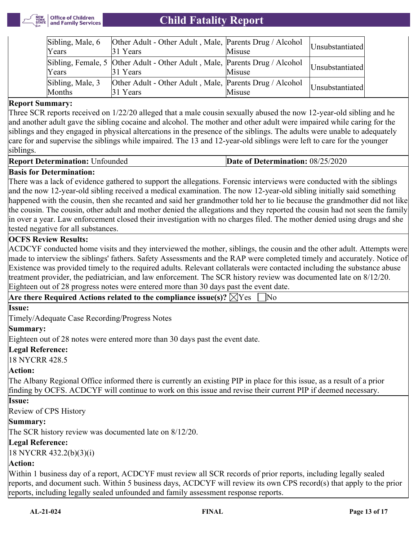

| Sibling, Male, 6<br>Years  | Other Adult - Other Adult, Male, Parents Drug / Alcohol<br>31 Years                    | Misuse | Unsubstantiated |
|----------------------------|----------------------------------------------------------------------------------------|--------|-----------------|
| Years                      | Sibling, Female, 5 Other Adult - Other Adult, Male, Parents Drug / Alcohol<br>31 Years | Misuse | Unsubstantiated |
| Sibling, Male, 3<br>Months | Other Adult - Other Adult, Male, Parents Drug / Alcohol<br>31 Years                    | Misuse | Unsubstantiated |

#### **Report Summary:**

Three SCR reports received on 1/22/20 alleged that a male cousin sexually abused the now 12-year-old sibling and he and another adult gave the sibling cocaine and alcohol. The mother and other adult were impaired while caring for the siblings and they engaged in physical altercations in the presence of the siblings. The adults were unable to adequately care for and supervise the siblings while impaired. The 13 and 12-year-old siblings were left to care for the younger siblings.

| <b>Report Determination: Unfounded</b> | Date of Determination: 08/25/2020 |
|----------------------------------------|-----------------------------------|
|----------------------------------------|-----------------------------------|

#### **Basis for Determination:**

There was a lack of evidence gathered to support the allegations. Forensic interviews were conducted with the siblings and the now 12-year-old sibling received a medical examination. The now 12-year-old sibling initially said something happened with the cousin, then she recanted and said her grandmother told her to lie because the grandmother did not like the cousin. The cousin, other adult and mother denied the allegations and they reported the cousin had not seen the family in over a year. Law enforcement closed their investigation with no charges filed. The mother denied using drugs and she tested negative for all substances.

#### **OCFS Review Results:**

ACDCYF conducted home visits and they interviewed the mother, siblings, the cousin and the other adult. Attempts were made to interview the siblings' fathers. Safety Assessments and the RAP were completed timely and accurately. Notice of Existence was provided timely to the required adults. Relevant collaterals were contacted including the substance abuse treatment provider, the pediatrician, and law enforcement. The SCR history review was documented late on 8/12/20. Eighteen out of 28 progress notes were entered more than 30 days past the event date.

|  | Are there Required Actions related to the compliance issue(s)? $\boxtimes$ Yes $\Box$ No |  |
|--|------------------------------------------------------------------------------------------|--|
|  |                                                                                          |  |

#### **Issue:**

Timely/Adequate Case Recording/Progress Notes

#### **Summary:**

Eighteen out of 28 notes were entered more than 30 days past the event date.

#### **Legal Reference:**

18 NYCRR 428.5

#### **Action:**

The Albany Regional Office informed there is currently an existing PIP in place for this issue, as a result of a prior finding by OCFS. ACDCYF will continue to work on this issue and revise their current PIP if deemed necessary.

#### **Issue:**

Review of CPS History

#### **Summary:**

The SCR history review was documented late on 8/12/20.

#### **Legal Reference:**

18 NYCRR 432.2(b)(3)(i)

#### **Action:**

Within 1 business day of a report, ACDCYF must review all SCR records of prior reports, including legally sealed reports, and document such. Within 5 business days, ACDCYF will review its own CPS record(s) that apply to the prior reports, including legally sealed unfounded and family assessment response reports.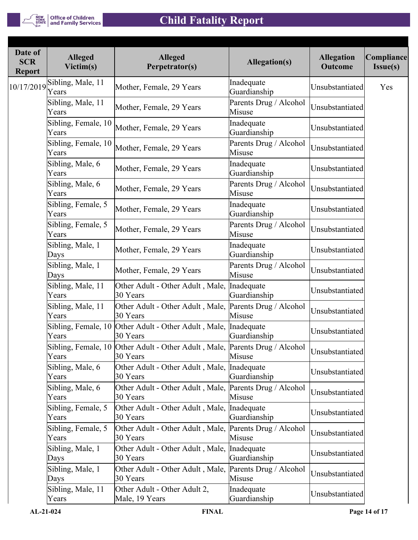

| Date of<br><b>SCR</b><br><b>Report</b> | <b>Alleged</b><br>Victim(s)  | <b>Alleged</b><br>Perpetrator(s)                                 | <b>Allegation(s)</b>             | <b>Allegation</b><br><b>Outcome</b> | Compliance<br>Issue(s) |
|----------------------------------------|------------------------------|------------------------------------------------------------------|----------------------------------|-------------------------------------|------------------------|
| 10/17/2019                             | Sibling, Male, 11<br>Years   | Mother, Female, 29 Years                                         | Inadequate<br>Guardianship       | Unsubstantiated                     | Yes                    |
|                                        | Sibling, Male, 11<br>Years   | Mother, Female, 29 Years                                         | Parents Drug / Alcohol<br>Misuse | Unsubstantiated                     |                        |
|                                        | Sibling, Female, 10<br>Years | Mother, Female, 29 Years                                         | Inadequate<br>Guardianship       | Unsubstantiated                     |                        |
|                                        | Sibling, Female, 10<br>Years | Mother, Female, 29 Years                                         | Parents Drug / Alcohol<br>Misuse | Unsubstantiated                     |                        |
|                                        | Sibling, Male, 6<br>Years    | Mother, Female, 29 Years                                         | Inadequate<br>Guardianship       | Unsubstantiated                     |                        |
|                                        | Sibling, Male, 6<br>Years    | Mother, Female, 29 Years                                         | Parents Drug / Alcohol<br>Misuse | Unsubstantiated                     |                        |
|                                        | Sibling, Female, 5<br>Years  | Mother, Female, 29 Years                                         | Inadequate<br>Guardianship       | Unsubstantiated                     |                        |
|                                        | Sibling, Female, 5<br>Years  | Mother, Female, 29 Years                                         | Parents Drug / Alcohol<br>Misuse | Unsubstantiated                     |                        |
|                                        | Sibling, Male, 1<br>Days     | Mother, Female, 29 Years                                         | Inadequate<br>Guardianship       | Unsubstantiated                     |                        |
|                                        | Sibling, Male, 1<br>Days     | Mother, Female, 29 Years                                         | Parents Drug / Alcohol<br>Misuse | Unsubstantiated                     |                        |
|                                        | Sibling, Male, 11<br>Years   | Other Adult - Other Adult, Male,<br>30 Years                     | Inadequate<br>Guardianship       | Unsubstantiated                     |                        |
|                                        | Sibling, Male, 11<br>Years   | Other Adult - Other Adult, Male,<br>30 Years                     | Parents Drug / Alcohol<br>Misuse | Unsubstantiated                     |                        |
|                                        | Sibling, Female, 10<br>Years | Other Adult - Other Adult, Male,<br>30 Years                     | Inadequate<br>Guardianship       | Unsubstantiated                     |                        |
|                                        | Years                        | Sibling, Female, 10 Other Adult - Other Adult, Male,<br>30 Years | Parents Drug / Alcohol<br>Misuse | Unsubstantiated                     |                        |
|                                        | Sibling, Male, 6<br>Years    | Other Adult - Other Adult, Male,<br>30 Years                     | Inadequate<br>Guardianship       | Unsubstantiated                     |                        |
|                                        | Sibling, Male, 6<br>Years    | Other Adult - Other Adult, Male,<br>30 Years                     | Parents Drug / Alcohol<br>Misuse | Unsubstantiated                     |                        |
|                                        | Sibling, Female, 5<br>Years  | Other Adult - Other Adult, Male,<br>30 Years                     | Inadequate<br>Guardianship       | Unsubstantiated                     |                        |
|                                        | Sibling, Female, 5<br>Years  | Other Adult - Other Adult, Male,<br>30 Years                     | Parents Drug / Alcohol<br>Misuse | Unsubstantiated                     |                        |
|                                        | Sibling, Male, 1<br>Days     | Other Adult - Other Adult, Male,<br>30 Years                     | Inadequate<br>Guardianship       | Unsubstantiated                     |                        |
|                                        | Sibling, Male, 1<br>Days     | Other Adult - Other Adult, Male,<br>30 Years                     | Parents Drug / Alcohol<br>Misuse | Unsubstantiated                     |                        |
|                                        | Sibling, Male, 11<br>Years   | Other Adult - Other Adult 2,<br>Male, 19 Years                   | Inadequate<br>Guardianship       | Unsubstantiated                     |                        |
|                                        |                              |                                                                  |                                  |                                     |                        |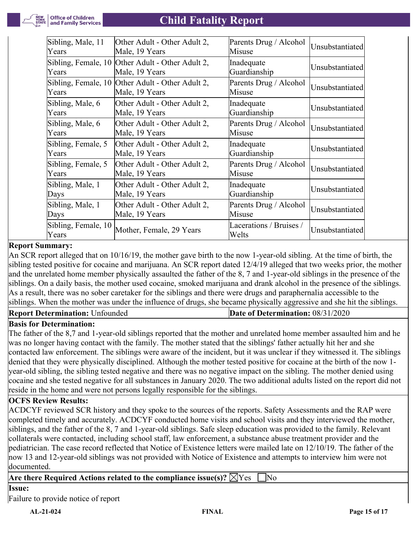

| Sibling, Male, 11            | Other Adult - Other Adult 2, | Parents Drug / Alcohol           | Unsubstantiated |
|------------------------------|------------------------------|----------------------------------|-----------------|
| Years                        | Male, 19 Years               | Misuse                           |                 |
| Sibling, Female, 10          | Other Adult - Other Adult 2, | Inadequate                       | Unsubstantiated |
| Years                        | Male, 19 Years               | Guardianship                     |                 |
| Sibling, Female, 10          | Other Adult - Other Adult 2, | Parents Drug / Alcohol           | Unsubstantiated |
| Years                        | Male, 19 Years               | Misuse                           |                 |
| Sibling, Male, 6             | Other Adult - Other Adult 2, | Inadequate                       | Unsubstantiated |
| Years                        | Male, 19 Years               | Guardianship                     |                 |
| Sibling, Male, 6             | Other Adult - Other Adult 2, | Parents Drug / Alcohol           | Unsubstantiated |
| Years                        | Male, 19 Years               | Misuse                           |                 |
| Sibling, Female, 5           | Other Adult - Other Adult 2, | Inadequate                       | Unsubstantiated |
| Years                        | Male, 19 Years               | Guardianship                     |                 |
| Sibling, Female, 5           | Other Adult - Other Adult 2, | Parents Drug / Alcohol           | Unsubstantiated |
| Years                        | Male, 19 Years               | Misuse                           |                 |
| Sibling, Male, 1             | Other Adult - Other Adult 2, | Inadequate                       | Unsubstantiated |
| Days                         | Male, 19 Years               | Guardianship                     |                 |
| Sibling, Male, 1             | Other Adult - Other Adult 2, | Parents Drug / Alcohol           | Unsubstantiated |
| Days                         | Male, 19 Years               | Misuse                           |                 |
| Sibling, Female, 10<br>Years | Mother, Female, 29 Years     | Lacerations / Bruises /<br>Welts | Unsubstantiated |

## **Report Summary:**

An SCR report alleged that on 10/16/19, the mother gave birth to the now 1-year-old sibling. At the time of birth, the sibling tested positive for cocaine and marijuana. An SCR report dated 12/4/19 alleged that two weeks prior, the mother and the unrelated home member physically assaulted the father of the 8, 7 and 1-year-old siblings in the presence of the siblings. On a daily basis, the mother used cocaine, smoked marijuana and drank alcohol in the presence of the siblings. As a result, there was no sober caretaker for the siblings and there were drugs and paraphernalia accessible to the siblings. When the mother was under the influence of drugs, she became physically aggressive and she hit the siblings.

#### **Report Determination: Unfounded**

| Date of Determination: 08/31/2020 |  |
|-----------------------------------|--|
|-----------------------------------|--|

## **Basis for Determination:**

The father of the 8,7 and 1-year-old siblings reported that the mother and unrelated home member assaulted him and he was no longer having contact with the family. The mother stated that the siblings' father actually hit her and she contacted law enforcement. The siblings were aware of the incident, but it was unclear if they witnessed it. The siblings denied that they were physically disciplined. Although the mother tested positive for cocaine at the birth of the now 1 year-old sibling, the sibling tested negative and there was no negative impact on the sibling. The mother denied using cocaine and she tested negative for all substances in January 2020. The two additional adults listed on the report did not reside in the home and were not persons legally responsible for the siblings.

#### **OCFS Review Results:**

ACDCYF reviewed SCR history and they spoke to the sources of the reports. Safety Assessments and the RAP were completed timely and accurately. ACDCYF conducted home visits and school visits and they interviewed the mother, siblings, and the father of the 8, 7 and 1-year-old siblings. Safe sleep education was provided to the family. Relevant collaterals were contacted, including school staff, law enforcement, a substance abuse treatment provider and the pediatrician. The case record reflected that Notice of Existence letters were mailed late on 12/10/19. The father of the now 13 and 12-year-old siblings was not provided with Notice of Existence and attempts to interview him were not documented.

## **Are there Required Actions related to the compliance issue(s)?**  $\boxtimes$  Yes  $\Box$  No

**Issue:**

Failure to provide notice of report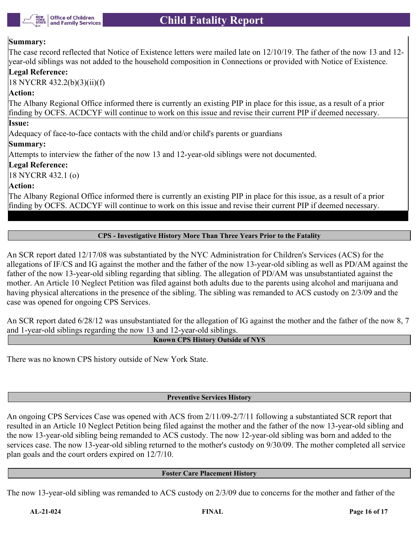

#### **Summary:**

The case record reflected that Notice of Existence letters were mailed late on 12/10/19. The father of the now 13 and 12 year-old siblings was not added to the household composition in Connections or provided with Notice of Existence.

#### **Legal Reference:**

18 NYCRR 432.2(b)(3)(ii)(f)

## **Action:**

The Albany Regional Office informed there is currently an existing PIP in place for this issue, as a result of a prior finding by OCFS. ACDCYF will continue to work on this issue and revise their current PIP if deemed necessary.

### **Issue:**

Adequacy of face-to-face contacts with the child and/or child's parents or guardians

#### **Summary:**

Attempts to interview the father of the now 13 and 12-year-old siblings were not documented.

#### **Legal Reference:**

18 NYCRR 432.1 (o)

#### **Action:**

The Albany Regional Office informed there is currently an existing PIP in place for this issue, as a result of a prior finding by OCFS. ACDCYF will continue to work on this issue and revise their current PIP if deemed necessary.

#### **CPS - Investigative History More Than Three Years Prior to the Fatality**

An SCR report dated 12/17/08 was substantiated by the NYC Administration for Children's Services (ACS) for the allegations of IF/CS and IG against the mother and the father of the now 13-year-old sibling as well as PD/AM against the father of the now 13-year-old sibling regarding that sibling. The allegation of PD/AM was unsubstantiated against the mother. An Article 10 Neglect Petition was filed against both adults due to the parents using alcohol and marijuana and having physical altercations in the presence of the sibling. The sibling was remanded to ACS custody on 2/3/09 and the case was opened for ongoing CPS Services.

An SCR report dated 6/28/12 was unsubstantiated for the allegation of IG against the mother and the father of the now 8, 7 and 1-year-old siblings regarding the now 13 and 12-year-old siblings.

#### **Known CPS History Outside of NYS**

There was no known CPS history outside of New York State.

#### **Preventive Services History**

An ongoing CPS Services Case was opened with ACS from 2/11/09-2/7/11 following a substantiated SCR report that resulted in an Article 10 Neglect Petition being filed against the mother and the father of the now 13-year-old sibling and the now 13-year-old sibling being remanded to ACS custody. The now 12-year-old sibling was born and added to the services case. The now 13-year-old sibling returned to the mother's custody on 9/30/09. The mother completed all service plan goals and the court orders expired on 12/7/10.

#### **Foster Care Placement History**

The now 13-year-old sibling was remanded to ACS custody on 2/3/09 due to concerns for the mother and father of the